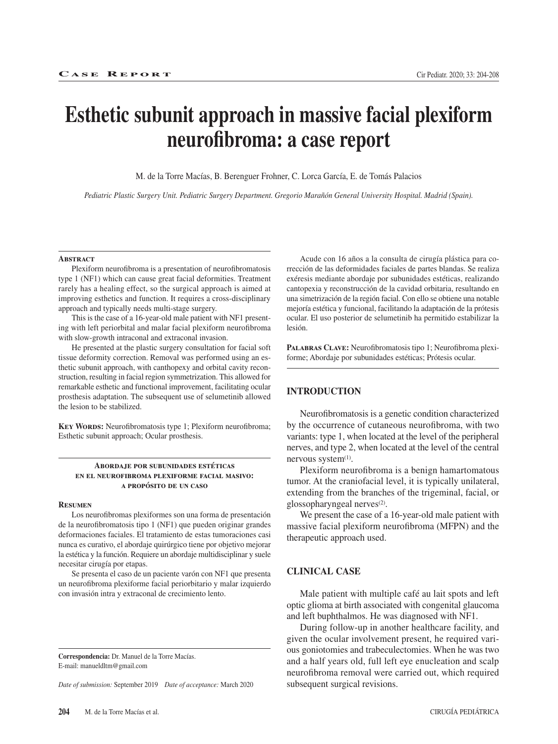# **Esthetic subunit approach in massive facial plexiform neurofibroma: a case report**

M. de la Torre Macías, B. Berenguer Frohner, C. Lorca García, E. de Tomás Palacios

*Pediatric Plastic Surgery Unit. Pediatric Surgery Department. Gregorio Marañón General University Hospital. Madrid (Spain).*

#### **Abstract**

Plexiform neurofibroma is a presentation of neurofibromatosis type 1 (NF1) which can cause great facial deformities. Treatment rarely has a healing effect, so the surgical approach is aimed at improving esthetics and function. It requires a cross-disciplinary approach and typically needs multi-stage surgery.

This is the case of a 16-year-old male patient with NF1 presenting with left periorbital and malar facial plexiform neurofibroma with slow-growth intraconal and extraconal invasion.

He presented at the plastic surgery consultation for facial soft tissue deformity correction. Removal was performed using an esthetic subunit approach, with canthopexy and orbital cavity reconstruction, resulting in facial region symmetrization. This allowed for remarkable esthetic and functional improvement, facilitating ocular prosthesis adaptation. The subsequent use of selumetinib allowed the lesion to be stabilized.

**KEY WORDS:** Neurofibromatosis type 1; Plexiform neurofibroma; Esthetic subunit approach; Ocular prosthesis.

#### **Abordaje por subunidades estéticas en el neurofibroma plexiforme facial masivo: a propósito de un caso**

#### **Resumen**

Los neurofibromas plexiformes son una forma de presentación de la neurofibromatosis tipo 1 (NF1) que pueden originar grandes deformaciones faciales. El tratamiento de estas tumoraciones casi nunca es curativo, el abordaje quirúrgico tiene por objetivo mejorar la estética y la función. Requiere un abordaje multidisciplinar y suele necesitar cirugía por etapas.

Se presenta el caso de un paciente varón con NF1 que presenta un neurofibroma plexiforme facial periorbitario y malar izquierdo con invasión intra y extraconal de crecimiento lento.

**Correspondencia:** Dr. Manuel de la Torre Macías. E-mail: manueldltm@gmail.com

*Date of submission:* September 2019 *Date of acceptance:* March 2020

Acude con 16 años a la consulta de cirugía plástica para corrección de las deformidades faciales de partes blandas. Se realiza exéresis mediante abordaje por subunidades estéticas, realizando cantopexia y reconstrucción de la cavidad orbitaria, resultando en una simetrización de la región facial. Con ello se obtiene una notable mejoría estética y funcional, facilitando la adaptación de la prótesis ocular. El uso posterior de selumetinib ha permitido estabilizar la lesión.

PALABRAS CLAVE: Neurofibromatosis tipo 1; Neurofibroma plexiforme; Abordaje por subunidades estéticas; Prótesis ocular.

#### **INTRODUCTION**

Neurofibromatosis is a genetic condition characterized by the occurrence of cutaneous neurofibroma, with two variants: type 1, when located at the level of the peripheral nerves, and type 2, when located at the level of the central nervous system<sup>(1)</sup>.

Plexiform neurofibroma is a benign hamartomatous tumor. At the craniofacial level, it is typically unilateral, extending from the branches of the trigeminal, facial, or glossopharyngeal nerves(2).

We present the case of a 16-year-old male patient with massive facial plexiform neurofibroma (MFPN) and the therapeutic approach used.

### **CLINICAL CASE**

Male patient with multiple café au lait spots and left optic glioma at birth associated with congenital glaucoma and left buphthalmos. He was diagnosed with NF1.

During follow-up in another healthcare facility, and given the ocular involvement present, he required various goniotomies and trabeculectomies. When he was two and a half years old, full left eye enucleation and scalp neurofibroma removal were carried out, which required subsequent surgical revisions.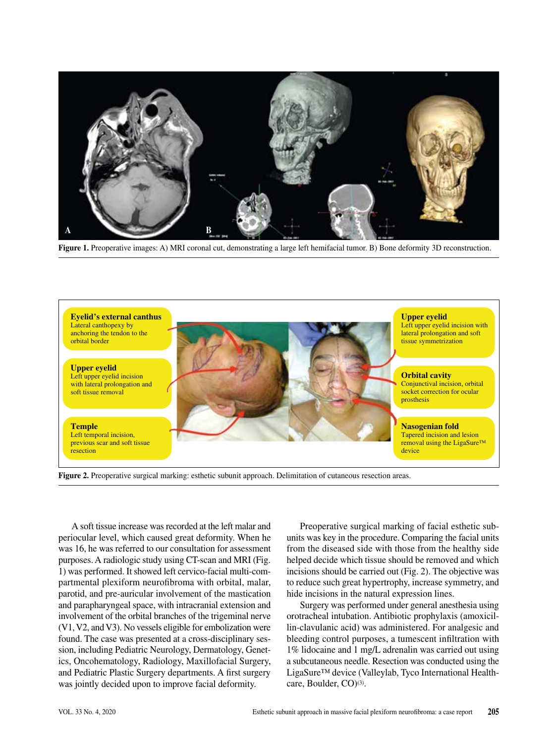

**Figure 1.** Preoperative images: A) MRI coronal cut, demonstrating a large left hemifacial tumor. B) Bone deformity 3D reconstruction.



**Figure 2.** Preoperative surgical marking: esthetic subunit approach. Delimitation of cutaneous resection areas.

A soft tissue increase was recorded at the left malar and periocular level, which caused great deformity. When he was 16, he was referred to our consultation for assessment purposes. A radiologic study using CT-scan and MRI (Fig. 1) was performed. It showed left cervico-facial multi-compartmental plexiform neurofibroma with orbital, malar, parotid, and pre-auricular involvement of the mastication and parapharyngeal space, with intracranial extension and involvement of the orbital branches of the trigeminal nerve (V1, V2, and V3). No vessels eligible for embolization were found. The case was presented at a cross-disciplinary session, including Pediatric Neurology, Dermatology, Genetics, Oncohematology, Radiology, Maxillofacial Surgery, and Pediatric Plastic Surgery departments. A first surgery was jointly decided upon to improve facial deformity.

Preoperative surgical marking of facial esthetic subunits was key in the procedure. Comparing the facial units from the diseased side with those from the healthy side helped decide which tissue should be removed and which incisions should be carried out (Fig. 2). The objective was to reduce such great hypertrophy, increase symmetry, and hide incisions in the natural expression lines.

Surgery was performed under general anesthesia using orotracheal intubation. Antibiotic prophylaxis (amoxicillin-clavulanic acid) was administered. For analgesic and bleeding control purposes, a tumescent infiltration with 1% lidocaine and 1 mg/L adrenalin was carried out using a subcutaneous needle. Resection was conducted using the LigaSure™ device (Valleylab, Tyco International Healthcare, Boulder, CO)<sup>(3)</sup>.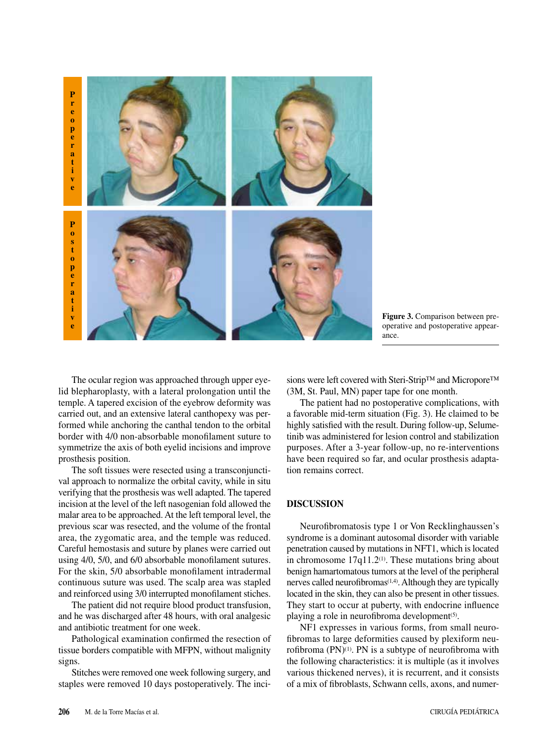

**Figure 3.** Comparison between preoperative and postoperative appearance.

The ocular region was approached through upper eyelid blepharoplasty, with a lateral prolongation until the temple. A tapered excision of the eyebrow deformity was carried out, and an extensive lateral canthopexy was performed while anchoring the canthal tendon to the orbital border with 4/0 non-absorbable monofilament suture to symmetrize the axis of both eyelid incisions and improve prosthesis position.

The soft tissues were resected using a transconjunctival approach to normalize the orbital cavity, while in situ verifying that the prosthesis was well adapted. The tapered incision at the level of the left nasogenian fold allowed the malar area to be approached. At the left temporal level, the previous scar was resected, and the volume of the frontal area, the zygomatic area, and the temple was reduced. Careful hemostasis and suture by planes were carried out using 4/0, 5/0, and 6/0 absorbable monofilament sutures. For the skin, 5/0 absorbable monofilament intradermal continuous suture was used. The scalp area was stapled and reinforced using 3/0 interrupted monofilament stiches.

The patient did not require blood product transfusion, and he was discharged after 48 hours, with oral analgesic and antibiotic treatment for one week.

Pathological examination confirmed the resection of tissue borders compatible with MFPN, without malignity signs.

Stitches were removed one week following surgery, and staples were removed 10 days postoperatively. The incisions were left covered with Steri-Strip™ and Micropore™ (3M, St. Paul, MN) paper tape for one month.

The patient had no postoperative complications, with a favorable mid-term situation (Fig. 3). He claimed to be highly satisfied with the result. During follow-up, Selumetinib was administered for lesion control and stabilization purposes. After a 3-year follow-up, no re-interventions have been required so far, and ocular prosthesis adaptation remains correct.

## **DISCUSSION**

Neurofibromatosis type 1 or Von Recklinghaussen's syndrome is a dominant autosomal disorder with variable penetration caused by mutations in NFT1, which is located in chromosome  $17q11.2<sup>(1)</sup>$ . These mutations bring about benign hamartomatous tumors at the level of the peripheral nerves called neurofibromas $(1,4)$ . Although they are typically located in the skin, they can also be present in other tissues. They start to occur at puberty, with endocrine influence playing a role in neurofibroma development<sup>(5)</sup>.

NF1 expresses in various forms, from small neurofibromas to large deformities caused by plexiform neurofibroma  $(PN)^{(1)}$ . PN is a subtype of neurofibroma with the following characteristics: it is multiple (as it involves various thickened nerves), it is recurrent, and it consists of a mix of fibroblasts, Schwann cells, axons, and numer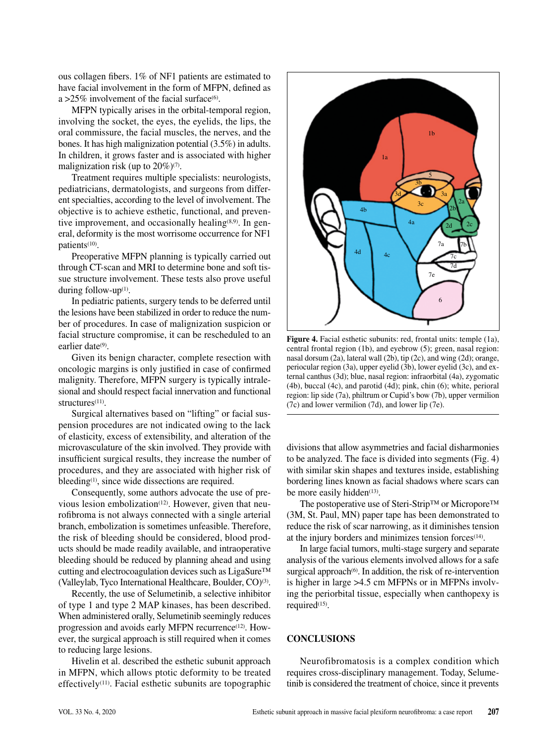ous collagen fibers. 1% of NF1 patients are estimated to have facial involvement in the form of MFPN, defined as a >25% involvement of the facial surface $(6)$ .

MFPN typically arises in the orbital-temporal region, involving the socket, the eyes, the eyelids, the lips, the oral commissure, the facial muscles, the nerves, and the bones. It has high malignization potential (3.5%) in adults. In children, it grows faster and is associated with higher malignization risk (up to  $20\%$ )<sup>(7)</sup>.

Treatment requires multiple specialists: neurologists, pediatricians, dermatologists, and surgeons from different specialties, according to the level of involvement. The objective is to achieve esthetic, functional, and preventive improvement, and occasionally healing<sup> $(8,9)$ </sup>. In general, deformity is the most worrisome occurrence for NF1 patients(10).

Preoperative MFPN planning is typically carried out through CT-scan and MRI to determine bone and soft tissue structure involvement. These tests also prove useful during follow-up $(1)$ .

In pediatric patients, surgery tends to be deferred until the lesions have been stabilized in order to reduce the number of procedures. In case of malignization suspicion or facial structure compromise, it can be rescheduled to an earlier date<sup>(9)</sup>.

Given its benign character, complete resection with oncologic margins is only justified in case of confirmed malignity. Therefore, MFPN surgery is typically intralesional and should respect facial innervation and functional structures<sup>(11)</sup>.

Surgical alternatives based on "lifting" or facial suspension procedures are not indicated owing to the lack of elasticity, excess of extensibility, and alteration of the microvasculature of the skin involved. They provide with insufficient surgical results, they increase the number of procedures, and they are associated with higher risk of bleeding<sup>(1)</sup>, since wide dissections are required.

Consequently, some authors advocate the use of previous lesion embolization<sup>(12)</sup>. However, given that neurofibroma is not always connected with a single arterial branch, embolization is sometimes unfeasible. Therefore, the risk of bleeding should be considered, blood products should be made readily available, and intraoperative bleeding should be reduced by planning ahead and using cutting and electrocoagulation devices such as LigaSure™ (Valleylab, Tyco International Healthcare, Boulder, CO)(3).

Recently, the use of Selumetinib, a selective inhibitor of type 1 and type 2 MAP kinases, has been described. When administered orally, Selumetinib seemingly reduces progression and avoids early MFPN recurrence<sup>(12)</sup>. However, the surgical approach is still required when it comes to reducing large lesions.

Hivelin et al. described the esthetic subunit approach in MFPN, which allows ptotic deformity to be treated effectively<sup>(11)</sup>. Facial esthetic subunits are topographic



**Figure 4.** Facial esthetic subunits: red, frontal units: temple (1a), central frontal region (1b), and eyebrow (5); green, nasal region: nasal dorsum (2a), lateral wall (2b), tip (2c), and wing (2d); orange, periocular region (3a), upper eyelid (3b), lower eyelid (3c), and external canthus (3d); blue, nasal region: infraorbital (4a), zygomatic (4b), buccal (4c), and parotid (4d); pink, chin (6); white, perioral region: lip side (7a), philtrum or Cupid's bow (7b), upper vermilion (7c) and lower vermilion (7d), and lower lip (7e).

divisions that allow asymmetries and facial disharmonies to be analyzed. The face is divided into segments (Fig. 4) with similar skin shapes and textures inside, establishing bordering lines known as facial shadows where scars can be more easily hidden $(13)$ .

The postoperative use of Steri-Strip™ or Micropore™ (3M, St. Paul, MN) paper tape has been demonstrated to reduce the risk of scar narrowing, as it diminishes tension at the injury borders and minimizes tension forces(14).

In large facial tumors, multi-stage surgery and separate analysis of the various elements involved allows for a safe surgical approach $(6)$ . In addition, the risk of re-intervention is higher in large >4.5 cm MFPNs or in MFPNs involving the periorbital tissue, especially when canthopexy is required<sup>(15)</sup>.

## **CONCLUSIONS**

Neurofibromatosis is a complex condition which requires cross-disciplinary management. Today, Selumetinib is considered the treatment of choice, since it prevents